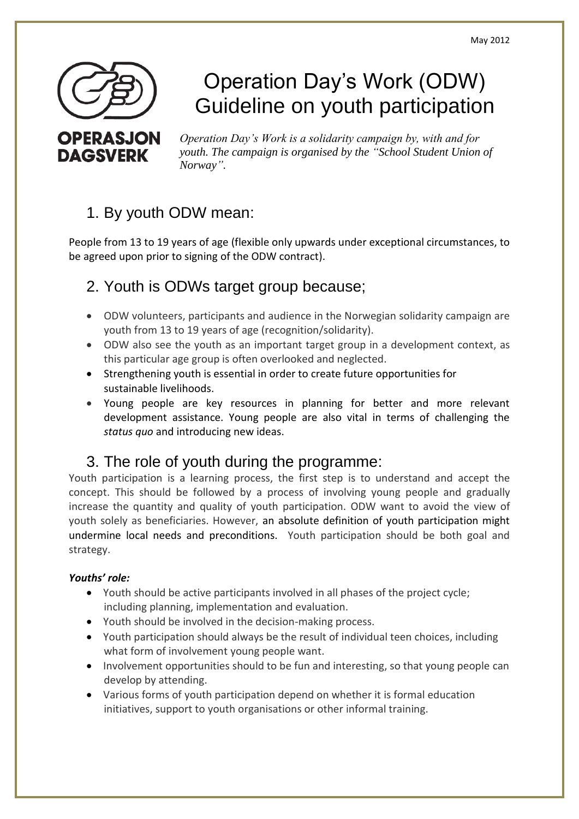

**DAGSVERK** 

# Operation Day's Work (ODW) Guideline on youth participation

*Operation Day's Work is a solidarity campaign by, with and for youth. The campaign is organised by the "School Student Union of Norway".* 

# 1. By youth ODW mean:

People from 13 to 19 years of age (flexible only upwards under exceptional circumstances, to be agreed upon prior to signing of the ODW contract).

# 2. Youth is ODWs target group because;

- ODW volunteers, participants and audience in the Norwegian solidarity campaign are youth from 13 to 19 years of age (recognition/solidarity).
- ODW also see the youth as an important target group in a development context, as this particular age group is often overlooked and neglected.
- Strengthening youth is essential in order to create future opportunities for sustainable livelihoods.
- Young people are key resources in planning for better and more relevant development assistance. Young people are also vital in terms of challenging the *status quo* and introducing new ideas.

## 3. The role of youth during the programme:

Youth participation is a learning process, the first step is to understand and accept the concept. This should be followed by a process of involving young people and gradually increase the quantity and quality of youth participation. ODW want to avoid the view of youth solely as beneficiaries. However, an absolute definition of youth participation might undermine local needs and preconditions. Youth participation should be both goal and strategy.

### *Youths' role:*

- Youth should be active participants involved in all phases of the project cycle; including planning, implementation and evaluation.
- Youth should be involved in the decision-making process.
- Youth participation should always be the result of individual teen choices, including what form of involvement young people want.
- Involvement opportunities should to be fun and interesting, so that young people can develop by attending.
- Various forms of youth participation depend on whether it is formal education initiatives, support to youth organisations or other informal training.